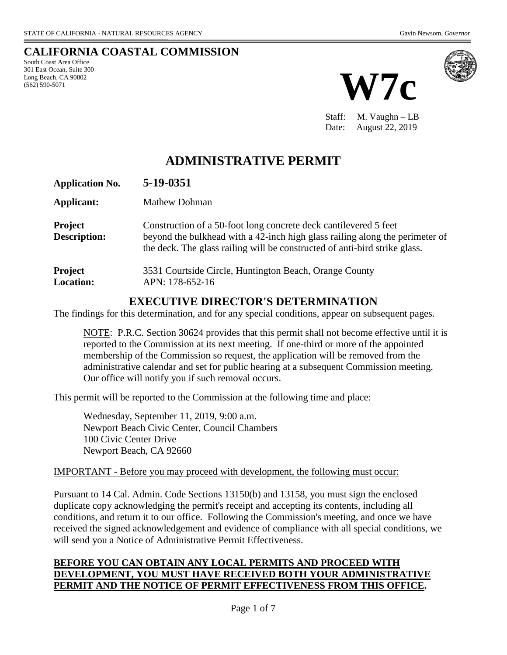# **CALIFORNIA COASTAL COMMISSION**

South Coast Area Office 301 East Ocean, Suite 300 Long Beach, CA 90802 (562) 590-5071





Staff: M. Vaughn – LB Date: August 22, 2019

# **ADMINISTRATIVE PERMIT**

| <b>Application No.</b>                | 5-19-0351                                                                                                                                                                                                                      |
|---------------------------------------|--------------------------------------------------------------------------------------------------------------------------------------------------------------------------------------------------------------------------------|
| Applicant:                            | Mathew Dohman                                                                                                                                                                                                                  |
| <b>Project</b><br><b>Description:</b> | Construction of a 50-foot long concrete deck cantilevered 5 feet<br>beyond the bulkhead with a 42-inch high glass railing along the perimeter of<br>the deck. The glass railing will be constructed of anti-bird strike glass. |
| <b>Project</b><br><b>Location:</b>    | 3531 Courtside Circle, Huntington Beach, Orange County<br>APN: 178-652-16                                                                                                                                                      |

# **EXECUTIVE DIRECTOR'S DETERMINATION**

The findings for this determination, and for any special conditions, appear on subsequent pages.

NOTE: P.R.C. Section 30624 provides that this permit shall not become effective until it is reported to the Commission at its next meeting. If one-third or more of the appointed membership of the Commission so request, the application will be removed from the administrative calendar and set for public hearing at a subsequent Commission meeting. Our office will notify you if such removal occurs.

This permit will be reported to the Commission at the following time and place:

Wednesday, September 11, 2019, 9:00 a.m. Newport Beach Civic Center, Council Chambers 100 Civic Center Drive Newport Beach, CA 92660

#### IMPORTANT - Before you may proceed with development, the following must occur:

Pursuant to 14 Cal. Admin. Code Sections 13150(b) and 13158, you must sign the enclosed duplicate copy acknowledging the permit's receipt and accepting its contents, including all conditions, and return it to our office. Following the Commission's meeting, and once we have received the signed acknowledgement and evidence of compliance with all special conditions, we will send you a Notice of Administrative Permit Effectiveness.

#### **BEFORE YOU CAN OBTAIN ANY LOCAL PERMITS AND PROCEED WITH DEVELOPMENT, YOU MUST HAVE RECEIVED BOTH YOUR ADMINISTRATIVE PERMIT AND THE NOTICE OF PERMIT EFFECTIVENESS FROM THIS OFFICE.**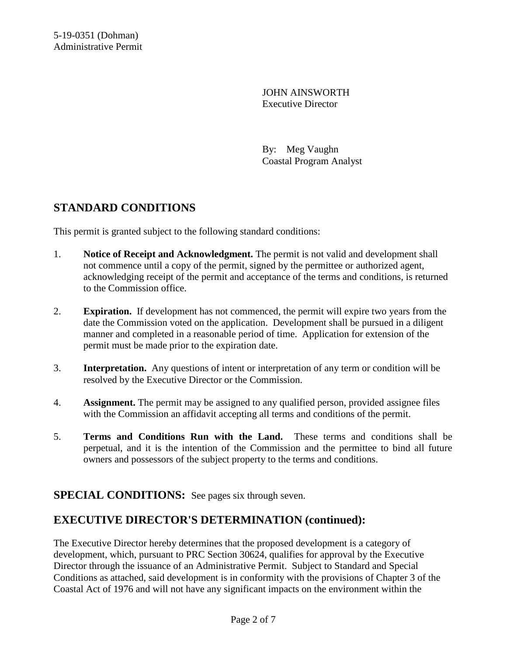JOHN AINSWORTH Executive Director

By: Meg Vaughn Coastal Program Analyst

# **STANDARD CONDITIONS**

This permit is granted subject to the following standard conditions:

- 1. **Notice of Receipt and Acknowledgment.** The permit is not valid and development shall not commence until a copy of the permit, signed by the permittee or authorized agent, acknowledging receipt of the permit and acceptance of the terms and conditions, is returned to the Commission office.
- 2. **Expiration.** If development has not commenced, the permit will expire two years from the date the Commission voted on the application. Development shall be pursued in a diligent manner and completed in a reasonable period of time. Application for extension of the permit must be made prior to the expiration date.
- 3. **Interpretation.** Any questions of intent or interpretation of any term or condition will be resolved by the Executive Director or the Commission.
- 4. **Assignment.** The permit may be assigned to any qualified person, provided assignee files with the Commission an affidavit accepting all terms and conditions of the permit.
- 5. **Terms and Conditions Run with the Land.** These terms and conditions shall be perpetual, and it is the intention of the Commission and the permittee to bind all future owners and possessors of the subject property to the terms and conditions.

# **SPECIAL CONDITIONS:** See pages six through seven.

# **EXECUTIVE DIRECTOR'S DETERMINATION (continued):**

The Executive Director hereby determines that the proposed development is a category of development, which, pursuant to PRC Section 30624, qualifies for approval by the Executive Director through the issuance of an Administrative Permit. Subject to Standard and Special Conditions as attached, said development is in conformity with the provisions of Chapter 3 of the Coastal Act of 1976 and will not have any significant impacts on the environment within the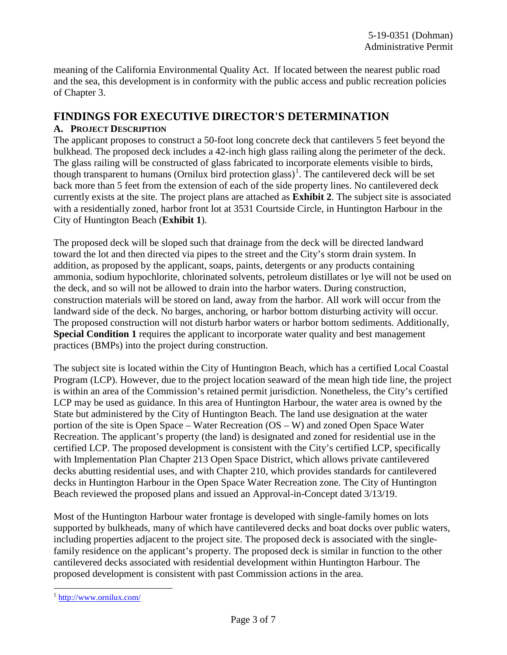meaning of the California Environmental Quality Act. If located between the nearest public road and the sea, this development is in conformity with the public access and public recreation policies of Chapter 3.

#### **FINDINGS FOR EXECUTIVE DIRECTOR'S DETERMINATION**

#### **A. PROJECT DESCRIPTION**

The applicant proposes to construct a 50-foot long concrete deck that cantilevers 5 feet beyond the bulkhead. The proposed deck includes a 42-inch high glass railing along the perimeter of the deck. The glass railing will be constructed of glass fabricated to incorporate elements visible to birds, though transparent to humans (Ornilux bird protection glass)<sup>[1](#page-2-0)</sup>. The cantilevered deck will be set back more than 5 feet from the extension of each of the side property lines. No cantilevered deck currently exists at the site. The project plans are attached as **Exhibit 2**. The subject site is associated with a residentially zoned, harbor front lot at 3531 Courtside Circle, in Huntington Harbour in the City of Huntington Beach (**Exhibit 1**).

The proposed deck will be sloped such that drainage from the deck will be directed landward toward the lot and then directed via pipes to the street and the City's storm drain system. In addition, as proposed by the applicant, soaps, paints, detergents or any products containing ammonia, sodium hypochlorite, chlorinated solvents, petroleum distillates or lye will not be used on the deck, and so will not be allowed to drain into the harbor waters. During construction, construction materials will be stored on land, away from the harbor. All work will occur from the landward side of the deck. No barges, anchoring, or harbor bottom disturbing activity will occur. The proposed construction will not disturb harbor waters or harbor bottom sediments. Additionally, **Special Condition 1** requires the applicant to incorporate water quality and best management practices (BMPs) into the project during construction.

The subject site is located within the City of Huntington Beach, which has a certified Local Coastal Program (LCP). However, due to the project location seaward of the mean high tide line, the project is within an area of the Commission's retained permit jurisdiction. Nonetheless, the City's certified LCP may be used as guidance. In this area of Huntington Harbour, the water area is owned by the State but administered by the City of Huntington Beach. The land use designation at the water portion of the site is Open Space – Water Recreation (OS – W) and zoned Open Space Water Recreation. The applicant's property (the land) is designated and zoned for residential use in the certified LCP. The proposed development is consistent with the City's certified LCP, specifically with Implementation Plan Chapter 213 Open Space District, which allows private cantilevered decks abutting residential uses, and with Chapter 210, which provides standards for cantilevered decks in Huntington Harbour in the Open Space Water Recreation zone. The City of Huntington Beach reviewed the proposed plans and issued an Approval-in-Concept dated 3/13/19.

Most of the Huntington Harbour water frontage is developed with single-family homes on lots supported by bulkheads, many of which have cantilevered decks and boat docks over public waters, including properties adjacent to the project site. The proposed deck is associated with the singlefamily residence on the applicant's property. The proposed deck is similar in function to the other cantilevered decks associated with residential development within Huntington Harbour. The proposed development is consistent with past Commission actions in the area.

<span id="page-2-0"></span> $1$  <http://www.ornilux.com/>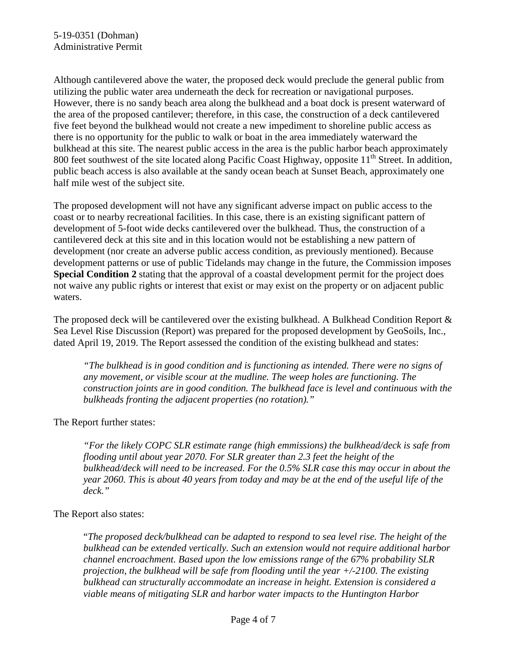Although cantilevered above the water, the proposed deck would preclude the general public from utilizing the public water area underneath the deck for recreation or navigational purposes. However, there is no sandy beach area along the bulkhead and a boat dock is present waterward of the area of the proposed cantilever; therefore, in this case, the construction of a deck cantilevered five feet beyond the bulkhead would not create a new impediment to shoreline public access as there is no opportunity for the public to walk or boat in the area immediately waterward the bulkhead at this site. The nearest public access in the area is the public harbor beach approximately 800 feet southwest of the site located along Pacific Coast Highway, opposite  $11<sup>th</sup>$  Street. In addition, public beach access is also available at the sandy ocean beach at Sunset Beach, approximately one half mile west of the subject site.

The proposed development will not have any significant adverse impact on public access to the coast or to nearby recreational facilities. In this case, there is an existing significant pattern of development of 5-foot wide decks cantilevered over the bulkhead. Thus, the construction of a cantilevered deck at this site and in this location would not be establishing a new pattern of development (nor create an adverse public access condition, as previously mentioned). Because development patterns or use of public Tidelands may change in the future, the Commission imposes **Special Condition 2** stating that the approval of a coastal development permit for the project does not waive any public rights or interest that exist or may exist on the property or on adjacent public waters.

The proposed deck will be cantilevered over the existing bulkhead. A Bulkhead Condition Report & Sea Level Rise Discussion (Report) was prepared for the proposed development by GeoSoils, Inc., dated April 19, 2019. The Report assessed the condition of the existing bulkhead and states:

*"The bulkhead is in good condition and is functioning as intended. There were no signs of any movement, or visible scour at the mudline. The weep holes are functioning. The construction joints are in good condition. The bulkhead face is level and continuous with the bulkheads fronting the adjacent properties (no rotation)."*

#### The Report further states:

*"For the likely COPC SLR estimate range (high emmissions) the bulkhead/deck is safe from flooding until about year 2070. For SLR greater than 2.3 feet the height of the bulkhead/deck will need to be increased. For the 0.5% SLR case this may occur in about the year 2060. This is about 40 years from today and may be at the end of the useful life of the deck."*

#### The Report also states:

"*The proposed deck/bulkhead can be adapted to respond to sea level rise. The height of the bulkhead can be extended vertically. Such an extension would not require additional harbor channel encroachment. Based upon the low emissions range of the 67% probability SLR projection, the bulkhead will be safe from flooding until the year +/-2100. The existing bulkhead can structurally accommodate an increase in height. Extension is considered a viable means of mitigating SLR and harbor water impacts to the Huntington Harbor*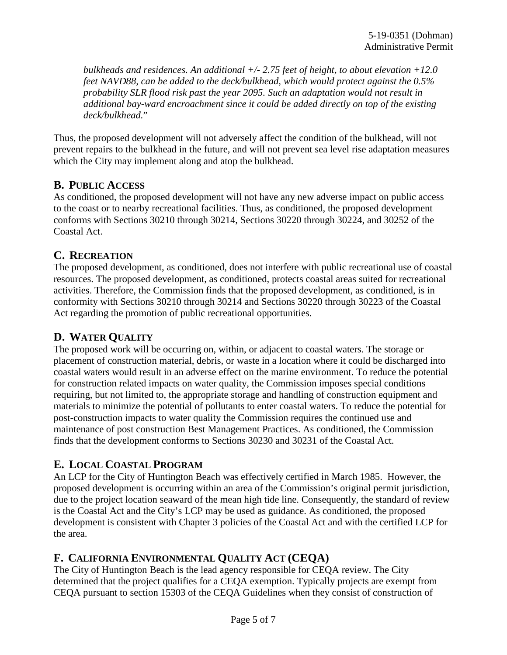*bulkheads and residences. An additional +/- 2.75 feet of height, to about elevation +12.0 feet NAVD88, can be added to the deck/bulkhead, which would protect against the 0.5% probability SLR flood risk past the year 2095. Such an adaptation would not result in additional bay-ward encroachment since it could be added directly on top of the existing deck/bulkhead.*"

Thus, the proposed development will not adversely affect the condition of the bulkhead, will not prevent repairs to the bulkhead in the future, and will not prevent sea level rise adaptation measures which the City may implement along and atop the bulkhead.

#### **B. PUBLIC ACCESS**

As conditioned, the proposed development will not have any new adverse impact on public access to the coast or to nearby recreational facilities. Thus, as conditioned, the proposed development conforms with Sections 30210 through 30214, Sections 30220 through 30224, and 30252 of the Coastal Act.

# **C. RECREATION**

The proposed development, as conditioned, does not interfere with public recreational use of coastal resources. The proposed development, as conditioned, protects coastal areas suited for recreational activities. Therefore, the Commission finds that the proposed development, as conditioned, is in conformity with Sections 30210 through 30214 and Sections 30220 through 30223 of the Coastal Act regarding the promotion of public recreational opportunities.

# **D. WATER QUALITY**

The proposed work will be occurring on, within, or adjacent to coastal waters. The storage or placement of construction material, debris, or waste in a location where it could be discharged into coastal waters would result in an adverse effect on the marine environment. To reduce the potential for construction related impacts on water quality, the Commission imposes special conditions requiring, but not limited to, the appropriate storage and handling of construction equipment and materials to minimize the potential of pollutants to enter coastal waters. To reduce the potential for post-construction impacts to water quality the Commission requires the continued use and maintenance of post construction Best Management Practices. As conditioned, the Commission finds that the development conforms to Sections 30230 and 30231 of the Coastal Act.

# **E. LOCAL COASTAL PROGRAM**

An LCP for the City of Huntington Beach was effectively certified in March 1985. However, the proposed development is occurring within an area of the Commission's original permit jurisdiction, due to the project location seaward of the mean high tide line. Consequently, the standard of review is the Coastal Act and the City's LCP may be used as guidance. As conditioned, the proposed development is consistent with Chapter 3 policies of the Coastal Act and with the certified LCP for the area.

# **F. CALIFORNIA ENVIRONMENTAL QUALITY ACT (CEQA)**

The City of Huntington Beach is the lead agency responsible for CEQA review. The City determined that the project qualifies for a CEQA exemption. Typically projects are exempt from CEQA pursuant to section 15303 of the CEQA Guidelines when they consist of construction of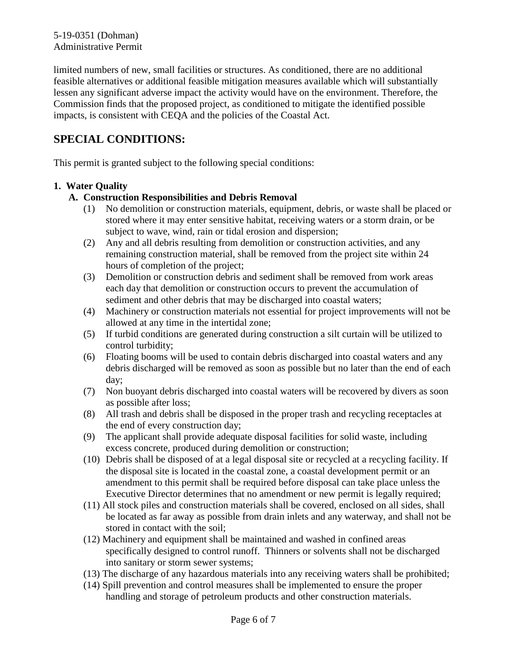limited numbers of new, small facilities or structures. As conditioned, there are no additional feasible alternatives or additional feasible mitigation measures available which will substantially lessen any significant adverse impact the activity would have on the environment. Therefore, the Commission finds that the proposed project, as conditioned to mitigate the identified possible impacts, is consistent with CEQA and the policies of the Coastal Act.

# **SPECIAL CONDITIONS:**

This permit is granted subject to the following special conditions:

#### **1. Water Quality**

#### **A. Construction Responsibilities and Debris Removal**

- (1) No demolition or construction materials, equipment, debris, or waste shall be placed or stored where it may enter sensitive habitat, receiving waters or a storm drain, or be subject to wave, wind, rain or tidal erosion and dispersion;
- (2) Any and all debris resulting from demolition or construction activities, and any remaining construction material, shall be removed from the project site within 24 hours of completion of the project;
- (3) Demolition or construction debris and sediment shall be removed from work areas each day that demolition or construction occurs to prevent the accumulation of sediment and other debris that may be discharged into coastal waters;
- (4) Machinery or construction materials not essential for project improvements will not be allowed at any time in the intertidal zone;
- (5) If turbid conditions are generated during construction a silt curtain will be utilized to control turbidity;
- (6) Floating booms will be used to contain debris discharged into coastal waters and any debris discharged will be removed as soon as possible but no later than the end of each day;
- (7) Non buoyant debris discharged into coastal waters will be recovered by divers as soon as possible after loss;
- (8) All trash and debris shall be disposed in the proper trash and recycling receptacles at the end of every construction day;
- (9) The applicant shall provide adequate disposal facilities for solid waste, including excess concrete, produced during demolition or construction;
- (10) Debris shall be disposed of at a legal disposal site or recycled at a recycling facility. If the disposal site is located in the coastal zone, a coastal development permit or an amendment to this permit shall be required before disposal can take place unless the Executive Director determines that no amendment or new permit is legally required;
- (11) All stock piles and construction materials shall be covered, enclosed on all sides, shall be located as far away as possible from drain inlets and any waterway, and shall not be stored in contact with the soil;
- (12) Machinery and equipment shall be maintained and washed in confined areas specifically designed to control runoff. Thinners or solvents shall not be discharged into sanitary or storm sewer systems;
- (13) The discharge of any hazardous materials into any receiving waters shall be prohibited;
- (14) Spill prevention and control measures shall be implemented to ensure the proper handling and storage of petroleum products and other construction materials.